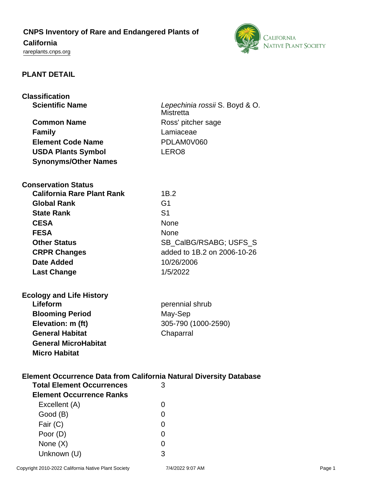# **CNPS Inventory of Rare and Endangered Plants of**

# **California**

<rareplants.cnps.org>



## **PLANT DETAIL**

| <b>Classification</b>                                                     |                                |  |
|---------------------------------------------------------------------------|--------------------------------|--|
| <b>Scientific Name</b>                                                    | Lepechinia rossii S. Boyd & O. |  |
|                                                                           | Mistretta                      |  |
| <b>Common Name</b>                                                        | Ross' pitcher sage             |  |
| <b>Family</b>                                                             | Lamiaceae                      |  |
| <b>Element Code Name</b>                                                  | PDLAM0V060                     |  |
| <b>USDA Plants Symbol</b>                                                 | LERO <sub>8</sub>              |  |
| <b>Synonyms/Other Names</b>                                               |                                |  |
|                                                                           |                                |  |
| <b>Conservation Status</b>                                                |                                |  |
| <b>California Rare Plant Rank</b>                                         | 1B.2                           |  |
| <b>Global Rank</b>                                                        | G <sub>1</sub>                 |  |
| <b>State Rank</b>                                                         | S <sub>1</sub>                 |  |
| <b>CESA</b>                                                               | <b>None</b>                    |  |
| <b>FESA</b>                                                               | None                           |  |
| <b>Other Status</b>                                                       | SB_CalBG/RSABG; USFS_S         |  |
| <b>CRPR Changes</b>                                                       | added to 1B.2 on 2006-10-26    |  |
| Date Added                                                                | 10/26/2006                     |  |
| <b>Last Change</b>                                                        | 1/5/2022                       |  |
|                                                                           |                                |  |
| <b>Ecology and Life History</b>                                           |                                |  |
| Lifeform                                                                  | perennial shrub                |  |
| <b>Blooming Period</b>                                                    | May-Sep                        |  |
| Elevation: m (ft)                                                         | 305-790 (1000-2590)            |  |
| <b>General Habitat</b>                                                    | Chaparral                      |  |
| <b>General MicroHabitat</b>                                               |                                |  |
| <b>Micro Habitat</b>                                                      |                                |  |
|                                                                           |                                |  |
| <b>Element Occurrence Data from California Natural Diversity Database</b> |                                |  |
| <b>Total Element Occurrences</b>                                          | 3                              |  |
| <b>Element Occurrence Ranks</b>                                           |                                |  |
| Excellent (A)                                                             | $\Omega$                       |  |
| Good (B)                                                                  | 0                              |  |
| Fair (C)                                                                  | 0                              |  |
| Poor (D)                                                                  | 0                              |  |
| None $(X)$                                                                | $\Omega$                       |  |
| Unknown (U)                                                               | 3                              |  |
|                                                                           |                                |  |